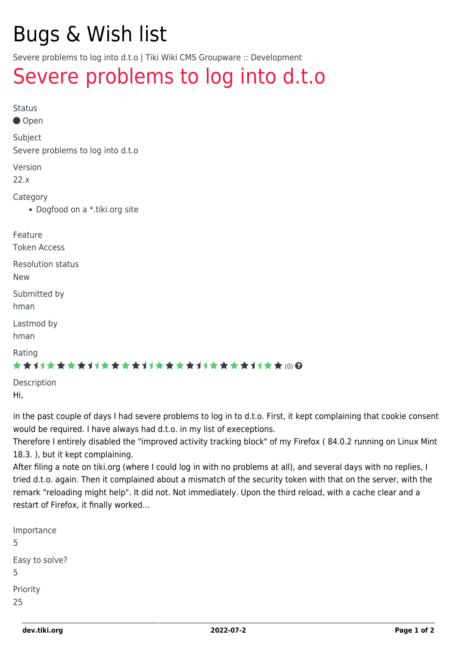# Bugs & Wish list

Severe problems to log into d.t.o | Tiki Wiki CMS Groupware :: Development

## [Severe problems to log into d.t.o](https://dev.tiki.org/item7649-Severe-problems-to-log-into-d-t-o)

| <b>Status</b><br>● Open                      |
|----------------------------------------------|
| Subject<br>Severe problems to log into d.t.o |
| Version<br>22.x                              |
| Category<br>• Dogfood on a *.tiki.org site   |
| Feature<br><b>Token Access</b>               |
| <b>Resolution status</b><br><b>New</b>       |
| Submitted by<br>hman                         |
| Lastmod by<br>hman                           |
| Rating<br>★★オオ★★★★オオ★★★★オオ★★★★オオ★★★★オオ★★(0)@ |
| Description<br>.                             |

Hi,

in the past couple of days I had severe problems to log in to d.t.o. First, it kept complaining that cookie consent would be required. I have always had d.t.o. in my list of execeptions.

Therefore I entirely disabled the "improved activity tracking block" of my Firefox ( 84.0.2 running on Linux Mint 18.3. ), but it kept complaining.

After filing a note on tiki.org (where I could log in with no problems at all), and several days with no replies, I tried d.t.o. again. Then it complained about a mismatch of the security token with that on the server, with the remark "reloading might help". It did not. Not immediately. Upon the third reload, with a cache clear and a restart of Firefox, it finally worked...

| Importance<br>5     |
|---------------------|
| Easy to solve?<br>5 |
| Priority<br>25      |